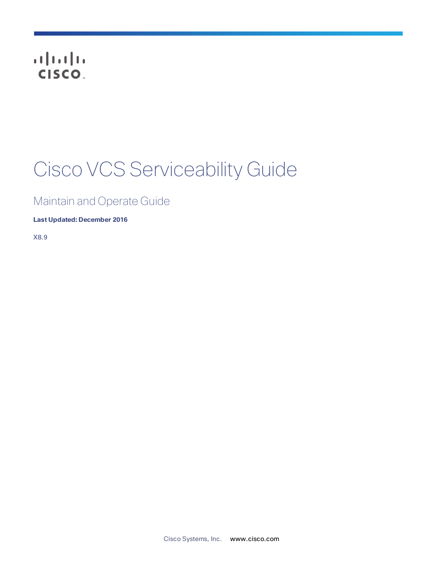# CISCO.

# Cisco VCS Serviceability Guide

# Maintain and Operate Guide

**Last Updated: December 2016**

X8.9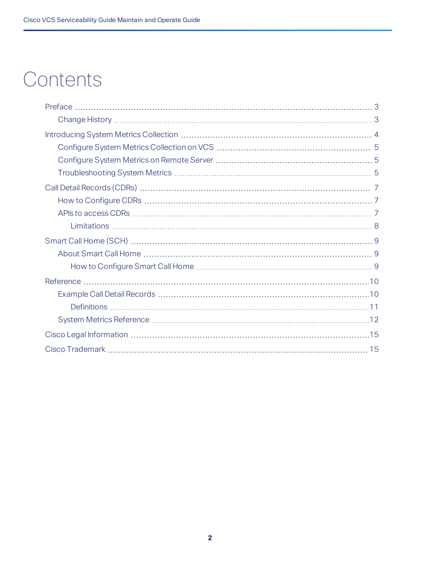# **Contents**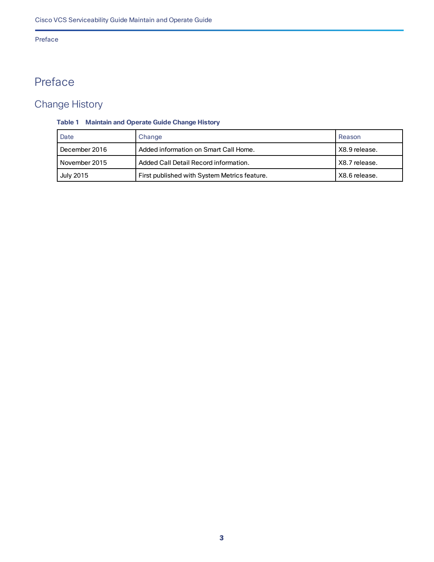### Preface

# <span id="page-2-0"></span>Preface

# <span id="page-2-1"></span>Change History

### **Table 1 Maintain and Operate Guide Change History**

| Date          | Change                                       | Reason        |
|---------------|----------------------------------------------|---------------|
| December 2016 | Added information on Smart Call Home.        | X8.9 release. |
| November 2015 | Added Call Detail Record information.        | X8.7 release. |
| July 2015     | First published with System Metrics feature. | X8.6 release. |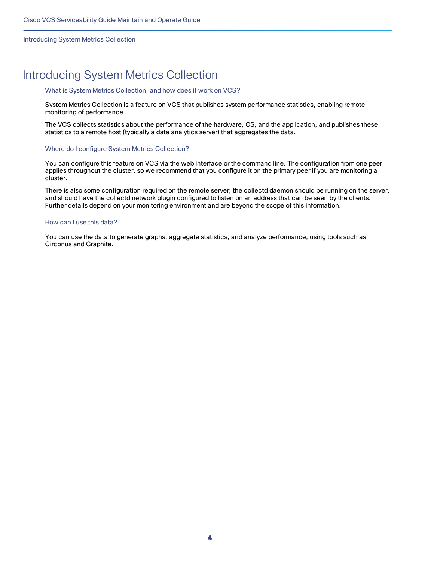Introducing System Metrics Collection

# <span id="page-3-0"></span>Introducing System Metrics Collection

### What is System Metrics Collection, and how does it work on VCS?

System Metrics Collection is a feature on VCS that publishes system performance statistics, enabling remote monitoring of performance.

The VCS collects statistics about the performance of the hardware, OS, and the application, and publishes these statistics to a remote host (typically a data analytics server) that aggregates the data.

### Where do I configure System Metrics Collection?

You can configure this feature on VCS via the web interface or the command line. The configuration from one peer applies throughout the cluster, so we recommend that you configure it on the primary peer if you are monitoring a cluster.

There is also some configuration required on the remote server; the collectd daemon should be running on the server, and should have the collectd network plugin configured to listen on an address that can be seen by the clients. Further details depend on your monitoring environment and are beyond the scope of this information.

### How can I use this data?

You can use the data to generate graphs, aggregate statistics, and analyze performance, using tools such as Circonus and Graphite.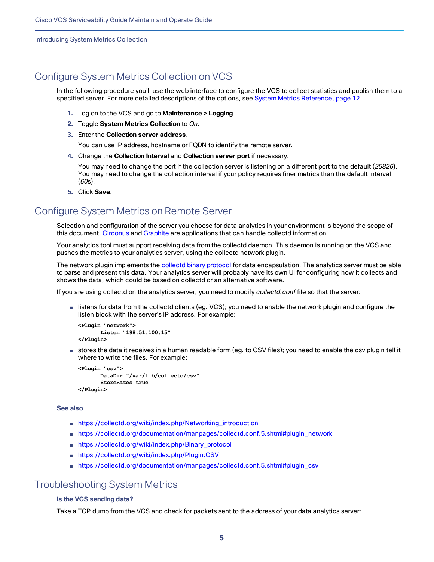Introducing System Metrics Collection

## <span id="page-4-0"></span>Configure System Metrics Collection on VCS

In the following procedure you'll use the web interface to configure the VCS to collect statistics and publish them to a specified server. For more detailed descriptions of the options, see System Metrics [Reference,](#page-11-0) page 12.

- **1.** Log on to the VCS and go to **Maintenance > Logging**.
- **2.** Toggle **System Metrics Collection** to *On*.
- **3.** Enter the **Collection server address**.

You can use IP address, hostname or FQDN to identify the remote server.

**4.** Change the **Collection Interval** and **Collection server port** if necessary.

You may need to change the port if the collection server is listening on a different port to the default (*25826*). You may need to change the collection interval if your policy requires finer metrics than the default interval (*60*s).

**5.** Click **Save**.

## <span id="page-4-1"></span>Configure System Metrics on Remote Server

Selection and configuration of the server you choose for data analytics in your environment is beyond the scope of this document. [Circonus](http://www.circonus.com/lp/collectd/) and [Graphite](http://graphite.readthedocs.org/) are applications that can handle collectd information.

Your analytics tool must support receiving data from the collectd daemon. This daemon is running on the VCS and pushes the metrics to your analytics server, using the collectd network plugin.

The network plugin implements the collectd binary [protocol](https://collectd.org/wiki/index.php/Binary_protocol) for data encapsulation. The analytics server must be able to parse and present this data. Your analytics server will probably have its own UI for configuring how it collects and shows the data, which could be based on collectd or an alternative software.

If you are using collectd on the analytics server, you need to modify *collectd.conf* file so that the server:

■ listens for data from the collectd clients (eg. VCS); you need to enable the network plugin and configure the listen block with the server's IP address. For example:

```
<Plugin "network">
      Listen "198.51.100.15"
</Plugin>
```
■ stores the data it receives in a human readable form (eg. to CSV files); you need to enable the csv plugin tell it where to write the files. For example:

```
<Plugin "csv">
      DataDir "/var/lib/collectd/csv"
       StoreRates true
</Plugin>
```
### **See also**

- [https://collectd.org/wiki/index.php/Networking\\_introduction](https://collectd.org/wiki/index.php/Networking_introduction)
- [https://collectd.org/documentation/manpages/collectd.conf.5.shtml#plugin\\_network](https://collectd.org/documentation/manpages/collectd.conf.5.shtml#plugin_network)
- [https://collectd.org/wiki/index.php/Binary\\_protocol](https://collectd.org/wiki/index.php/Binary_protocol)
- <https://collectd.org/wiki/index.php/Plugin:CSV>
- [https://collectd.org/documentation/manpages/collectd.conf.5.shtml#plugin\\_csv](https://collectd.org/documentation/manpages/collectd.conf.5.shtml#plugin_csv)

### <span id="page-4-2"></span>Troubleshooting System Metrics

### **Is the VCS sending data?**

Take a TCP dump from the VCS and check for packets sent to the address of your data analytics server: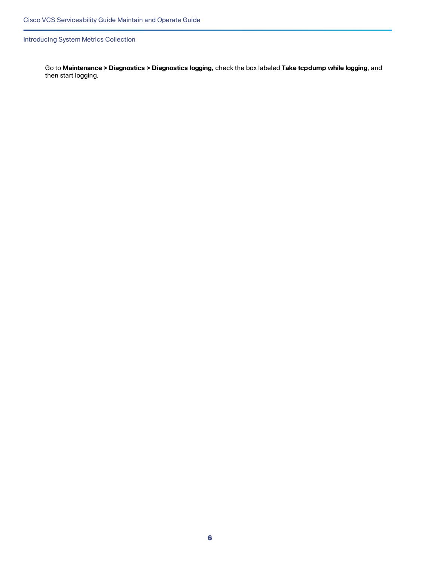Introducing System Metrics Collection

Go to **Maintenance > Diagnostics > Diagnostics logging**, check the box labeled **Take tcpdump while logging**, and then start logging.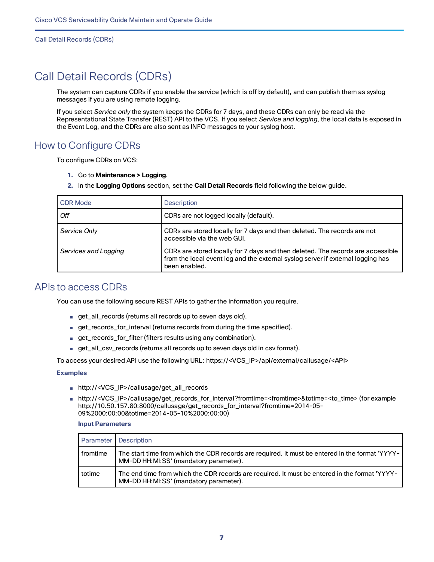Call Detail Records (CDRs)

# <span id="page-6-0"></span>Call Detail Records (CDRs)

The system can capture CDRs if you enable the service (which is off by default), and can publish them as syslog messages if you are using remote logging.

If you select *Service only* the system keeps the CDRs for 7 days, and these CDRs can only be read via the Representational State Transfer (REST) API to the VCS. If you select *Service and logging*, the local data is exposed in the Event Log, and the CDRs are also sent as INFO messages to your syslog host.

## <span id="page-6-1"></span>How to Configure CDRs

To configure CDRs on VCS:

- **1.** Go to **Maintenance > Logging**.
- **2.** In the **Logging Options** section, set the **Call Detail Records** field following the below guide.

| <b>CDR Mode</b>      | Description                                                                                                                                                                         |
|----------------------|-------------------------------------------------------------------------------------------------------------------------------------------------------------------------------------|
| l Off                | CDRs are not logged locally (default).                                                                                                                                              |
| Service Only         | CDRs are stored locally for 7 days and then deleted. The records are not<br>accessible via the web GUI.                                                                             |
| Services and Logging | CDRs are stored locally for 7 days and then deleted. The records are accessible<br>from the local event log and the external syslog server if external logging has<br>been enabled. |

### <span id="page-6-2"></span>APIs to access CDRs

You can use the following secure REST APIs to gather the information you require.

- get\_all\_records (returns all records up to seven days old).
- get\_records\_for\_interval (returns records from during the time specified).
- get\_records\_for\_filter (filters results using any combination).
- get\_all\_csv\_records (returns all records up to seven days old in csv format).

To access your desired API use the following URL: https://<VCS\_IP>/api/external/callusage/<API>

### **Examples**

- http://<VCS\_IP>/callusage/get\_all\_records
- http://<VCS\_IP>/callusage/get\_records\_for\_interval?fromtime=<fromtime>&totime=<to\_time> (for example http://10.50.157.80:8000/callusage/get\_records\_for\_interval?fromtime=2014-05- 09%2000:00:00&totime=2014-05-10%2000:00:00)

### **Input Parameters**

|          | Parameter Description                                                                                                                     |
|----------|-------------------------------------------------------------------------------------------------------------------------------------------|
| fromtime | The start time from which the CDR records are required. It must be entered in the format 'YYYY-<br>MM-DD HH:MI:SS' (mandatory parameter). |
| totime   | The end time from which the CDR records are required. It must be entered in the format 'YYYY-<br>MM-DD HH:MI:SS' (mandatory parameter).   |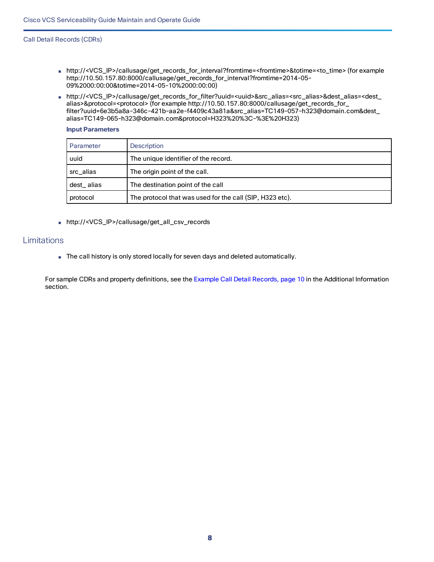### Call Detail Records (CDRs)

- http://<VCS\_IP>/callusage/get\_records\_for\_interval?fromtime=<fromtime>&totime=<to\_time> (for example http://10.50.157.80:8000/callusage/get\_records\_for\_interval?fromtime=2014-05- 09%2000:00:00&totime=2014-05-10%2000:00:00)
- http://<VCS\_IP>/callusage/get\_records\_for\_filter?uuid=<uuid>&src\_alias=<src\_alias>&dest\_alias=<dest\_ alias>&protocol=<protocol> (for example http://10.50.157.80:8000/callusage/get\_records\_for\_ filter?uuid=6e3b5a8a-346c-421b-aa2e-f4409c43a81a&src\_alias=TC149-057-h323@domain.com&dest\_ alias=TC149-065-h323@domain.com&protocol=H323%20%3C-%3E%20H323)

### **Input Parameters**

| Parameter  | Description                                              |
|------------|----------------------------------------------------------|
| uuid       | The unique identifier of the record.                     |
| src alias  | The origin point of the call.                            |
| dest_alias | The destination point of the call                        |
| protocol   | The protocol that was used for the call (SIP, H323 etc). |

■ http://<VCS\_IP>/callusage/get\_all\_csv\_records

### <span id="page-7-0"></span>Limitations

■ The call history is only stored locally for seven days and deleted automatically.

For sample CDRs and property definitions, see the Example Call Detail [Records,](#page-9-1) page 10 in the Additional Information section.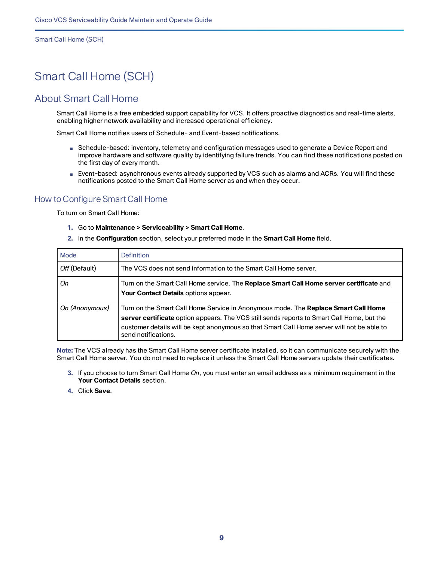Smart Call Home (SCH)

# <span id="page-8-0"></span>Smart Call Home (SCH)

### <span id="page-8-1"></span>About Smart Call Home

Smart Call Home is a free embedded support capability for VCS. It offers proactive diagnostics and real-time alerts, enabling higher network availability and increased operational efficiency.

Smart Call Home notifies users of Schedule- and Event-based notifications.

- Schedule-based: inventory, telemetry and configuration messages used to generate a Device Report and improve hardware and software quality by identifying failure trends. You can find these notifications posted on the first day of every month.
- Event-based: asynchronous events already supported by VCS such as alarms and ACRs. You will find these notifications posted to the Smart Call Home server as and when they occur.

### <span id="page-8-2"></span>How to Configure Smart Call Home

To turn on Smart Call Home:

- **1.** Go to **Maintenance > Serviceability > Smart Call Home**.
- **2.** In the **Configuration** section, select your preferred mode in the **Smart Call Home** field.

| Mode           | <b>Definition</b>                                                                                                                                                                                                                                                                                     |
|----------------|-------------------------------------------------------------------------------------------------------------------------------------------------------------------------------------------------------------------------------------------------------------------------------------------------------|
| Off (Default)  | The VCS does not send information to the Smart Call Home server.                                                                                                                                                                                                                                      |
| On             | Turn on the Smart Call Home service. The Replace Smart Call Home server certificate and<br>Your Contact Details options appear.                                                                                                                                                                       |
| On (Anonymous) | Turn on the Smart Call Home Service in Anonymous mode. The Replace Smart Call Home<br>server certificate option appears. The VCS still sends reports to Smart Call Home, but the<br>customer details will be kept anonymous so that Smart Call Home server will not be able to<br>send notifications. |

**Note:** The VCS already has the Smart Call Home server certificate installed, so it can communicate securely with the Smart Call Home server. You do not need to replace it unless the Smart Call Home servers update their certificates.

- **3.** If you choose to turn Smart Call Home *On*, you must enter an email address as a minimum requirement in the **Your Contact Details** section.
- **4.** Click **Save**.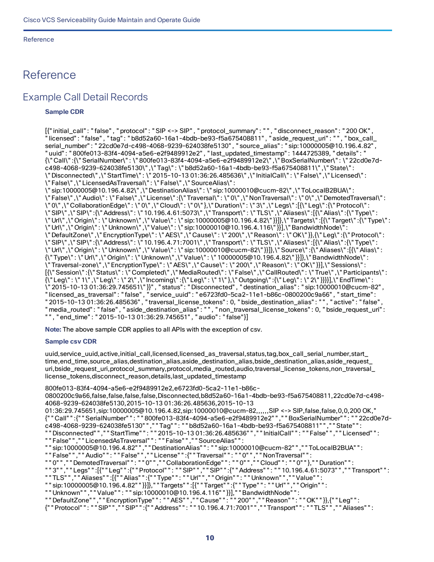# <span id="page-9-1"></span><span id="page-9-0"></span>Reference

### Example Call Detail Records

### **Sample CDR**

[{"initial\_call": "false", "protocol": "SIP <-> SIP", "protocol\_summary": "", "disconnect\_reason": "200 OK", "licensed": "false", "tag": "b8d52a60-16a1-4bdb-be93-f5a675408811", "aside\_request\_uri": "", "box\_call\_ serial\_number": "22cd0e7d-c498-4068-9239-624038fe5130", "source\_alias": "sip:10000005@10.196.4.82", "uuid": "800fe013-83f4-4094-a5e6-e2f9489912e2", "last\_updated\_timestamp": 1444725389, "details": " {\"Call\":{\"SerialNumber\": \"800fe013-83f4-4094-a5e6-e2f9489912e2\",\"BoxSerialNumber\": \"22cd0e7dc498-4068-9239-624038fe5130\",\"Tag\": \"b8d52a60-16a1-4bdb-be93-f5a675408811\",\"State\": \"Disconnected\",\"StartTime\": \"2015-10-13 01:36:26.485636\",\"InitialCall\": \"False\",\"Licensed\": \"False\",\"LicensedAsTraversal\": \"False\",\"SourceAlias\": \"sip:10000005@10.196.4.82\",\"DestinationAlias\": \"sip:10000010@cucm-82\",\"ToLocalB2BUA\": \"False\",\"Audio\": \"False\",\"License\":{\"Traversal\": \"0\",\"NonTraversal\": \"0\",\"DemotedTraversal\": \"0\",\"CollaborationEdge\": \"0\",\"Cloud\": \"0\"},\"Duration\": \"3\",\"Legs\":[{\"Leg\":{\"Protocol\": \"SIP\",\"SIP\":{\"Address\": \"10.196.4.61:5073\",\"Transport\": \"TLS\",\"Aliases\":[{\"Alias\":{\"Type\": \"Url\",\"Origin\": \"Unknown\",\"Value\": \"sip:10000005@10.196.4.82\"}}]},\"Targets\":[{\"Target\":{\"Type\": \"Url\",\"Origin\": \"Unknown\",\"Value\": \"sip:10000010@10.196.4.116\"}}],\"BandwidthNode\": \"DefaultZone\",\"EncryptionType\": \"AES\",\"Cause\": \"200\",\"Reason\": \"OK\"}},{\"Leg\":{\"Protocol\": \"SIP\",\"SIP\":{\"Address\": \"10.196.4.71:7001\",\"Transport\": \"TLS\",\"Aliases\":[{\"Alias\":{\"Type\": \"Url\",\"Origin\": \"Unknown\",\"Value\": \"sip:10000010@cucm-82\"}}]},\"Source\":{\"Aliases\":[{\"Alias\": {\"Type\": \"Url\",\"Origin\": \"Unknown\",\"Value\": \"10000005@10.196.4.82\"}}]},\"BandwidthNode\": \"Traversal-zone\",\"EncryptionType\": \"AES\",\"Cause\": \"200\",\"Reason\": \"OK\"}}],\"Sessions\": [{\"Session\":{\"Status\": \"Completed\",\"MediaRouted\": \"False\",\"CallRouted\": \"True\",\"Participants\": {\"Leg\": \"1\",\"Leg\": \"2\",\"Incoming\":{\"Leg\": \"1\"},\"Outgoing\":{\"Leg\": \"2\"}}}}],\"EndTime\": \"2015-10-13 01:36:29.745651\"}}", "status": "Disconnected", "destination\_alias": "sip:10000010@cucm-82", "licensed\_as\_traversal": "false", "service\_uuid": "e6723fd0-5ca2-11e1-b86c-0800200c9a66", "start\_time": "2015-10-13 01:36:26.485636", "traversal\_license\_tokens": 0, "bside\_destination\_alias": "", "active": "false", "media\_routed": "false", "aside\_destination\_alias": "", "non\_traversal\_license\_tokens": 0, "bside\_request\_uri": "", "end\_time": "2015-10-13 01:36:29.745651", "audio": "false"}]

**Note:** The above sample CDR applies to all APIs with the exception of csv.

### **Sample csv CDR**

uuid,service\_uuid,active,initial\_call,licensed,licensed\_as\_traversal,status,tag,box\_call\_serial\_number,start\_ time,end\_time,source\_alias,destination\_alias,aside\_destination\_alias,bside\_destination\_alias,aside\_request\_ uri,bside\_request\_uri,protocol\_summary,protocol,media\_routed,audio,traversal\_license\_tokens,non\_traversal\_ license\_tokens,disconnect\_reason,details,last\_updated\_timestamp

800fe013-83f4-4094-a5e6-e2f9489912e2,e6723fd0-5ca2-11e1-b86c-

0800200c9a66,false,false,false,false,Disconnected,b8d52a60-16a1-4bdb-be93-f5a675408811,22cd0e7d-c498- 4068-9239-624038fe5130,2015-10-13 01:36:26.485636,2015-10-13

```
01:36:29.745651,sip:10000005@10.196.4.82,sip:10000010@cucm-82,,,,,,SIP <-> SIP,false,false,0,0,200 OK,"
{""Call"":{""SerialNumber"": ""800fe013-83f4-4094-a5e6-e2f9489912e2"",""BoxSerialNumber"": ""22cd0e7d-
c498-4068-9239-624038fe5130"",""Tag"": ""b8d52a60-16a1-4bdb-be93-f5a675408811"",""State"":
```
""Disconnected"",""StartTime"": ""2015-10-13 01:36:26.485636"",""InitialCall"": ""False"",""Licensed"":

```
""False"",""LicensedAsTraversal"": ""False"",""SourceAlias"":
```
""sip:10000005@10.196.4.82"",""DestinationAlias"": ""sip:10000010@cucm-82"",""ToLocalB2BUA"":

""False"",""Audio"": ""False"",""License"":{""Traversal"": ""0"",""NonTraversal"":

""0"",""DemotedTraversal"": ""0"",""CollaborationEdge"": ""0"",""Cloud"": ""0""},""Duration"":

```
""3"",""Legs"":[{""Leg"":{""Protocol"": ""SIP"",""SIP"":{""Address"": ""10.196.4.61:5073"",""Transport"":
```
""TLS"",""Aliases"":[{""Alias"":{""Type"": ""Url"",""Origin"": ""Unknown"",""Value"":

""sip:10000005@10.196.4.82""}}]},""Targets"":[{""Target"":{""Type"": ""Url"",""Origin"":

""Unknown"",""Value"": ""sip:10000010@10.196.4.116""}}],""BandwidthNode"":

```
""DefaultZone"",""EncryptionType"": ""AES"",""Cause"": ""200"",""Reason"": ""OK""}},{""Leg"":
```
{""Protocol"": ""SIP"",""SIP"":{""Address"": ""10.196.4.71:7001"",""Transport"": ""TLS"",""Aliases"":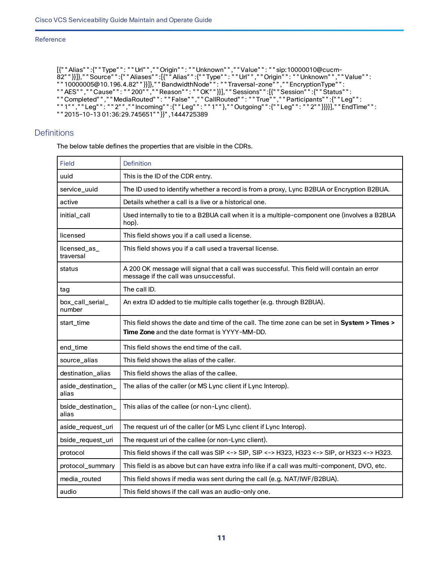```
[{""Alias"":{""Type"": ""Url"",""Origin"": ""Unknown"",""Value"": ""sip:10000010@cucm-
82""}}]},""Source"":{""Aliases"":[{""Alias"":{""Type"": ""Url"",""Origin"": ""Unknown"",""Value"":
""10000005@10.196.4.82""}}]},""BandwidthNode"": ""Traversal-zone"",""EncryptionType"":
""AES"",""Cause"": ""200"",""Reason"": ""OK""}}],""Sessions"":[{""Session"":{""Status"":
""Completed"",""MediaRouted"": ""False"",""CallRouted"": ""True"",""Participants"":{""Leg"":
""1"",""Leg"": ""2"",""Incoming"":{""Leg"": ""1""},""Outgoing"":{""Leg"": ""2""}}}}],""EndTime"":
""2015-10-13 01:36:29.745651""}}",1444725389
```
### <span id="page-10-0"></span>**Definitions**

The below table defines the properties that are visible in the CDRs.

| <b>Field</b>                | <b>Definition</b>                                                                                                                            |
|-----------------------------|----------------------------------------------------------------------------------------------------------------------------------------------|
| uuid                        | This is the ID of the CDR entry.                                                                                                             |
| service_uuid                | The ID used to identify whether a record is from a proxy, Lync B2BUA or Encryption B2BUA.                                                    |
| active                      | Details whether a call is a live or a historical one.                                                                                        |
| initial_call                | Used internally to tie to a B2BUA call when it is a multiple-component one (involves a B2BUA<br>hop).                                        |
| licensed                    | This field shows you if a call used a license.                                                                                               |
| licensed_as_<br>traversal   | This field shows you if a call used a traversal license.                                                                                     |
| status                      | A 200 OK message will signal that a call was successful. This field will contain an error<br>message if the call was unsuccessful.           |
| tag                         | The call ID.                                                                                                                                 |
| box_call_serial_<br>number  | An extra ID added to tie multiple calls together (e.g. through B2BUA).                                                                       |
| start_time                  | This field shows the date and time of the call. The time zone can be set in System > Times ><br>Time Zone and the date format is YYYY-MM-DD. |
|                             |                                                                                                                                              |
| end_time                    | This field shows the end time of the call.                                                                                                   |
| source_alias                | This field shows the alias of the caller.                                                                                                    |
| destination_alias           | This field shows the alias of the callee.                                                                                                    |
| aside_destination_<br>alias | The alias of the caller (or MS Lync client if Lync Interop).                                                                                 |
| bside_destination_<br>alias | This alias of the callee (or non-Lync client).                                                                                               |
| aside_request_uri           | The request uri of the caller (or MS Lync client if Lync Interop).                                                                           |
| bside_request_uri           | The request uri of the callee (or non-Lync client).                                                                                          |
| protocol                    | This field shows if the call was SIP <-> SIP, SIP <-> H323, H323 <-> SIP, or H323 <-> H323.                                                  |
| protocol_summary            | This field is as above but can have extra info like if a call was multi-component, DVO, etc.                                                 |
| media_routed                | This field shows if media was sent during the call (e.g. NAT/IWF/B2BUA).                                                                     |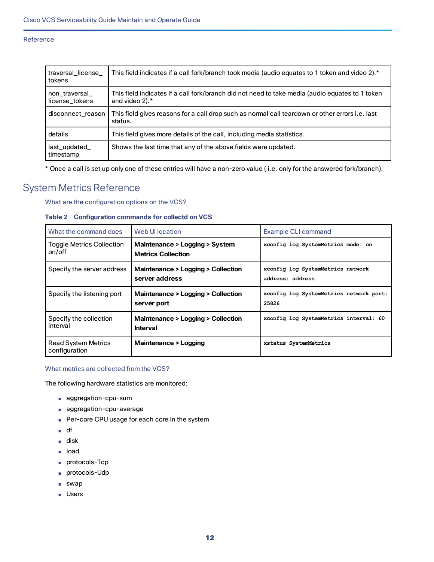| traversal_license_<br>tokens    | This field indicates if a call fork/branch took media (audio equates to 1 token and video 2).*                    |
|---------------------------------|-------------------------------------------------------------------------------------------------------------------|
| non traversal<br>license tokens | This field indicates if a call fork/branch did not need to take media (audio equates to 1 token<br>and video 2).* |
| disconnect reason               | This field gives reasons for a call drop such as normal call teardown or other errors i.e. last<br>status.        |
| details                         | This field gives more details of the call, including media statistics.                                            |
| last updated<br>timestamp       | Shows the last time that any of the above fields were updated.                                                    |

\* Once a call is set up only one of these entries will have a non-zero value ( i.e. only for the answered fork/branch).

### <span id="page-11-0"></span>System Metrics Reference

What are the configuration options on the VCS?

### **Table 2 Configuration commands for collectd on VCS**

| What the command does                       | Web UI location                                             | Example CLI command                                   |
|---------------------------------------------|-------------------------------------------------------------|-------------------------------------------------------|
| <b>Toggle Metrics Collection</b><br>on/off  | Maintenance > Logging > System<br><b>Metrics Collection</b> | xconfig log SystemMetrics mode: on                    |
| Specify the server address                  | Maintenance > Logging > Collection<br>server address        | xconfig log SystemMetrics network<br>address: address |
| Specify the listening port                  | Maintenance > Logging > Collection<br>server port           | xconfig log SystemMetrics network port:<br>25826      |
| Specify the collection<br>interval          | Maintenance > Logging > Collection<br><b>Interval</b>       | xconfig log SystemMetrics interval: 60                |
| <b>Read System Metrics</b><br>configuration | Maintenance > Logging                                       | xstatus SystemMetrics                                 |

### What metrics are collected from the VCS?

The following hardware statistics are monitored:

- aggregation-cpu-sum
- aggregation-cpu-average
- Per-core CPU usage for each core in the system
- df
- disk
- load
- protocols-Tcp
- protocols-Udp
- swap
- Users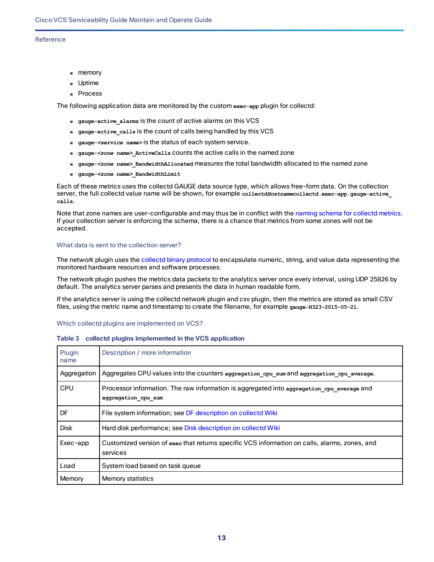- memory
- Uptime
- Process

The following application data are monitored by the custom **exec-app** plugin for collectd:

- **gauge-active\_alarms** is the count of active alarms on this VCS
- **gauge-active\_calls** is the count of calls being handled by this VCS
- gauge-*<service name>* is the status of each system service.
- **gauge-***<zone name>***\_ActiveCalls** counts the active calls in the named zone
- **gauge-***<zone name>***\_BandwidthAllocated** measures the total bandwidth allocated to the named zone
- **gauge-***<zone name>***\_BandwidthLimit**

Each of these metrics uses the collectd GAUGE data source type, which allows free-form data. On the collection server, the full collectd value name will be shown, for example **collectd***Hostname***collectd.exec-app.gauge-active\_ calls**.

Note that zone names are user-configurable and may thus be in conflict with the naming schema for [collectd](https://collectd.org/wiki/index.php/Naming_schema) metrics. If your collection server is enforcing the schema, there is a chance that metrics from some zones will not be accepted.

### What data is sent to the collection server?

The network plugin uses the collectd binary [protocol](https://collectd.org/wiki/index.php/Binary_protocol) to encapsulate numeric, string, and value data representing the monitored hardware resources and software processes.

The network plugin pushes the metrics data packets to the analytics server once every interval, using UDP 25826 by default. The analytics server parses and presents the data in human readable form.

If the analytics server is using the collectd network plugin and csv plugin, then the metrics are stored as small CSV files, using the metric name and timestamp to create the filename, for example **gauge-H323-2015-05-21**.

### Which collectd plugins are implemented on VCS?

### **Table 3 collectd plugins implemented in the VCS application**

| Plugin<br>name | Description / more information                                                                                   |
|----------------|------------------------------------------------------------------------------------------------------------------|
| Aggregation    | Aggregates CPU values into the counters aggregation cpu sum and aggregation cpu average.                         |
| <b>CPU</b>     | Processor information. The raw information is aggregated into aggregation cpu average and<br>aggregation cpu sum |
| <b>DF</b>      | File system information; see DF description on collectd Wiki                                                     |
| <b>Disk</b>    | Hard disk performance; see Disk description on collectd Wiki                                                     |
| Exec-app       | Customized version of exec that returns specific VCS information on calls, alarms, zones, and<br>services        |
| Load           | System load based on task queue                                                                                  |
| Memory         | Memory statistics                                                                                                |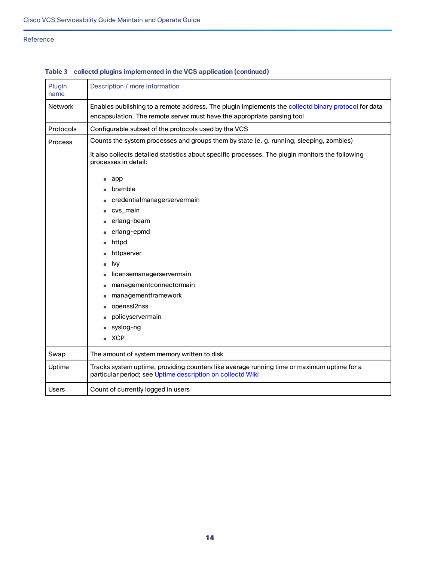| Plugin<br>name | Description / more information                                                                                                                                                 |
|----------------|--------------------------------------------------------------------------------------------------------------------------------------------------------------------------------|
| <b>Network</b> | Enables publishing to a remote address. The plugin implements the collectd binary protocol for data<br>encapsulation. The remote server must have the appropriate parsing tool |
| Protocols      | Configurable subset of the protocols used by the VCS                                                                                                                           |
| Process        | Counts the system processes and groups them by state (e. g. running, sleeping, zombies)                                                                                        |
|                | It also collects detailed statistics about specific processes. The plugin monitors the following<br>processes in detail:                                                       |
|                | app<br>$\mathcal{L}_{\mathcal{A}}$                                                                                                                                             |
|                | bramble                                                                                                                                                                        |
|                | credentialmanagerservermain                                                                                                                                                    |
|                | cvs_main                                                                                                                                                                       |
|                | erlang-beam                                                                                                                                                                    |
|                | erlang-epmd                                                                                                                                                                    |
|                | httpd                                                                                                                                                                          |
|                | httpserver                                                                                                                                                                     |
|                | ivy                                                                                                                                                                            |
|                | licensemanagerservermain                                                                                                                                                       |
|                | managementconnectormain                                                                                                                                                        |
|                | managementframework                                                                                                                                                            |
|                | openssl2nss                                                                                                                                                                    |
|                | policyservermain                                                                                                                                                               |
|                | syslog-ng                                                                                                                                                                      |
|                | XCP                                                                                                                                                                            |
| Swap           | The amount of system memory written to disk                                                                                                                                    |
| Uptime         | Tracks system uptime, providing counters like average running time or maximum uptime for a<br>particular period; see Uptime description on collectd Wiki                       |
| <b>Users</b>   | Count of currently logged in users                                                                                                                                             |

### **Table 3 collectd plugins implemented in the VCS application (continued)**